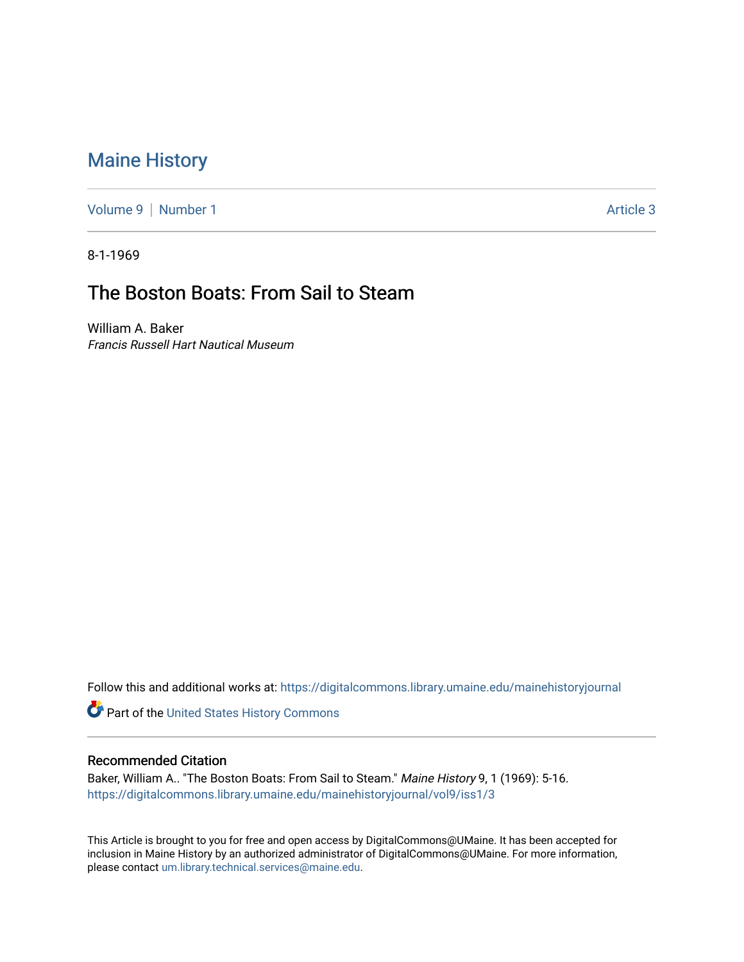## [Maine History](https://digitalcommons.library.umaine.edu/mainehistoryjournal)

[Volume 9](https://digitalcommons.library.umaine.edu/mainehistoryjournal/vol9) | [Number 1](https://digitalcommons.library.umaine.edu/mainehistoryjournal/vol9/iss1) Article 3

8-1-1969

## The Boston Boats: From Sail to Steam

William A. Baker Francis Russell Hart Nautical Museum

Follow this and additional works at: [https://digitalcommons.library.umaine.edu/mainehistoryjournal](https://digitalcommons.library.umaine.edu/mainehistoryjournal?utm_source=digitalcommons.library.umaine.edu%2Fmainehistoryjournal%2Fvol9%2Fiss1%2F3&utm_medium=PDF&utm_campaign=PDFCoverPages) 

Part of the [United States History Commons](http://network.bepress.com/hgg/discipline/495?utm_source=digitalcommons.library.umaine.edu%2Fmainehistoryjournal%2Fvol9%2Fiss1%2F3&utm_medium=PDF&utm_campaign=PDFCoverPages) 

## Recommended Citation

Baker, William A.. "The Boston Boats: From Sail to Steam." Maine History 9, 1 (1969): 5-16. [https://digitalcommons.library.umaine.edu/mainehistoryjournal/vol9/iss1/3](https://digitalcommons.library.umaine.edu/mainehistoryjournal/vol9/iss1/3?utm_source=digitalcommons.library.umaine.edu%2Fmainehistoryjournal%2Fvol9%2Fiss1%2F3&utm_medium=PDF&utm_campaign=PDFCoverPages)

This Article is brought to you for free and open access by DigitalCommons@UMaine. It has been accepted for inclusion in Maine History by an authorized administrator of DigitalCommons@UMaine. For more information, please contact [um.library.technical.services@maine.edu.](mailto:um.library.technical.services@maine.edu)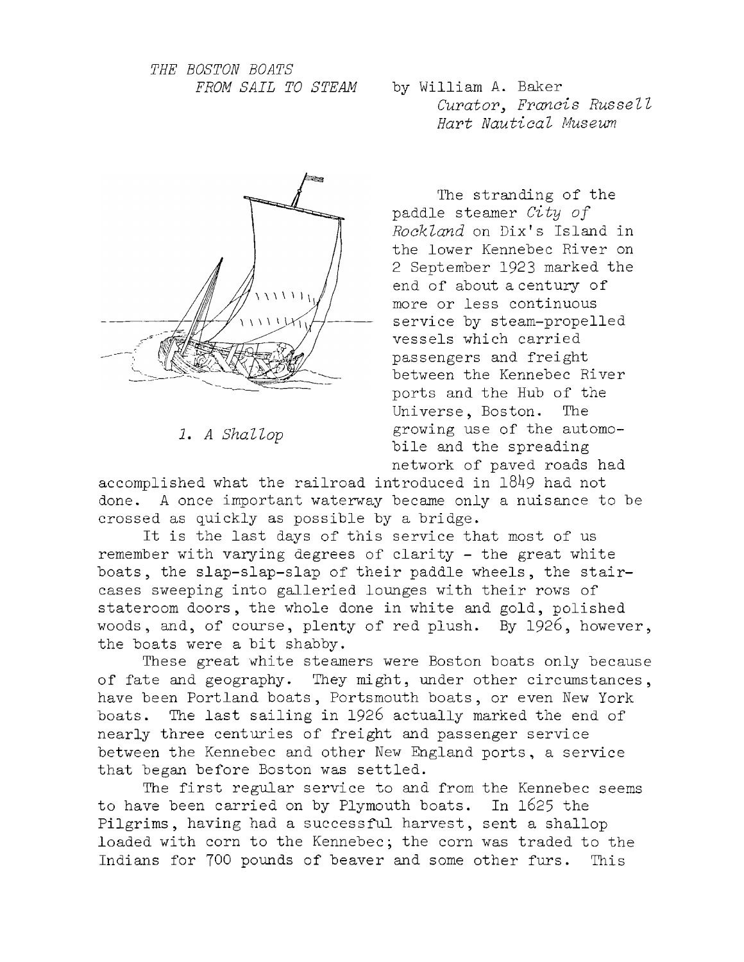*THE BOSTON BOATS*



*1. A Shallop*

*FROM SAIL TO STEAM* by William A. Baker *Curator, Francis Russell* Hart Nautical Museum

> The stranding of the paddle steamer *City of* Rockland on Dix's Island in the lower Kennebec River on 2 September 1923 marked the end of about a century of more or less continuous service by steam-propelled vessels which carried passengers and freight between the Kennebec River ports and the Hub of the Universe, Boston. The growing use of the automobile and the spreading network of paved roads had

accomplished what the railroad introduced in 1849 had not done. A once important waterway became only a nuisance to be crossed as quickly as possible by a bridge.

It is the last days of this service that most of us remember with varying degrees of clarity  $-$  the great white boats, the slap-slap-slap of their paddle wheels, the staircases sweeping into galleried lounges with their rows of stateroom doors, the whole done in white and gold, polished woods, and, of course, plenty of red plush. By 1926, however, the boats were a bit shabby.

These great white steamers were Boston boats only because of fate and geography. They might, under other circumstances, have been Portland boats, Portsmouth boats, or even New York boats. The last sailing in 1926 actually marked the end of nearly three centuries of freight and passenger service between the Kennebec and other New England ports, a service that began before Boston was settled .

The first regular service to and from the Kennebec seems to have been carried on by Plymouth boats. In 1625 the Pilgrims, having had a successful harvest, sent a shallop loaded with corn to the Kennebec; the corn was traded to the Indians for 700 pounds of beaver and some other furs. This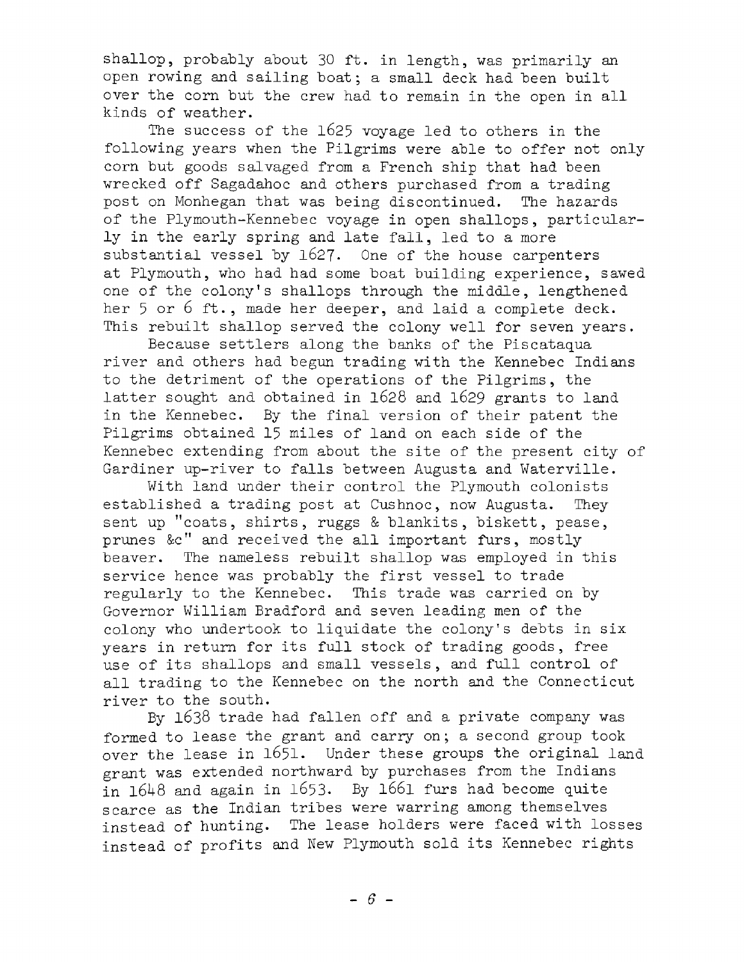shallop, probably about 30 ft. in length, was primarily an open rowing and sailing boat; a small deck had been built over the corn but the crew had to remain in the open in all kinds of weather.

The success of the  $1625$  voyage led to others in the following years when the Pilgrims were able to offer not only corn but goods salvaged from a French ship that had been wrecked off Sagadahoc and others purchased from a trading post on Monhegan that was being discontinued. The hazards of the Plymouth-Kennebec voyage in open shallops, particularly in the early spring and late fall, led to a more substantial vessel by  $1627$ . One of the house carpenters at Plymouth, who had had some boat building experience, sawed one of the colony's shallops through the middle, lengthened her  $5$  or  $6$  ft., made her deeper, and laid a complete deck. This rebuilt shallop served the colony well for seven years.

Because settlers along the banks of the Piscataqua river and others had begun trading with the Kennebec Indians to the detriment of the operations of the Pilgrims, the latter sought and obtained in 1628 and 1629 grants to land in the Kennebec. By the final version of their patent the Pilgrims obtained 15 miles of land on each side of the Kennebec extending from about the site of the present city of Gardiner up-river to falls between Augusta and Waterville.

With land under their control the Plymouth colonists established a trading post at Cushnoc, now Augusta. They sent up "coats, shirts, ruggs & blankits, biskett, pease, prunes &c" and received the all important furs, mostly beaver. The nameless rebuilt shallop was employed in this service hence was probably the first vessel to trade regularly to the Kennebec. This trade was carried on by Governor William Bradford and seven leading men of the colony who undertook to liquidate the colony's debts in six years in return for its full stock of trading goods, free use of its shallops and small vessels, and full control of all trading to the Kennebec on the north and the Connecticut river to the south.

By 1638 trade had fallen off and a private company was formed to lease the grant and carry on; a second group took over the lease in 1651. Under these groups the original land grant was extended northward by purchases from the Indians in  $1648$  and again in 1653. By 1661 furs had become quite scarce as the Indian tribes were warring among themselves instead of hunting. The lease holders were faced with losses instead of profits and New Plymouth sold its Kennebec rights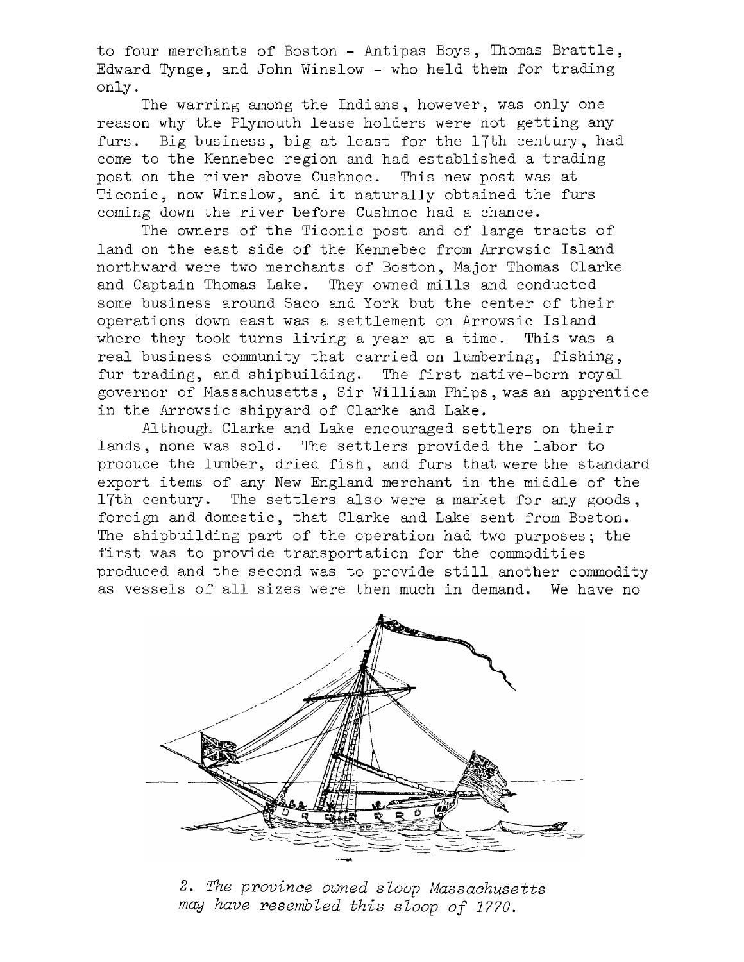to four merchants of Boston - Antipas Boys, Thomas Brattle, Edvard Tynge, and John Winslow - who held them for trading only.

The warring among the Indians, however, was only one reason why the Plymouth lease holders were not getting any furs. Big business, big at least for the 17th century, had come to the Kennebec region and had established a trading post on the river above Cushnoc. This new post was at Ticonic, now Winslow, and it naturally obtained the furs coming down the river before Cushnoc had a chance.

The owners of the Ticonic post and of large tracts of land on the east side of the Kennebec from Arrowsic Island northward were two merchants of Boston, Major Thomas Clarke and Captain Thomas Lake. They owned mills and conducted some business around Saco and York but the center of their operations down east was a settlement on Arrowsic Island where they took turns living a year at a time. This was a real business community that carried on lumbering, fishing, fur trading, and shipbuilding. The first native-born royal governor of Massachusetts, Sir William Phips, was an apprentice in the Arrowsic shipyard of Clarke and Lake.

Although Clarke and Lake encouraged settlers on their lands, none was sold. The settlers provided the labor to produce the lumber, dried fish, and furs that were the standard export items of any New England merchant in the middle of the 17th century. The settlers also were a market for any goods, foreign and domestic, that Clarke and Lake sent from Boston. The shipbuilding part of the operation had two purposes; the first was to provide transportation for the commodities produced and the second was to provide still another commodity as vessels of all sizes were then much in demand. We have no



2. *The province owned sloop Massachusetts* may have resembled this sloop of 1770.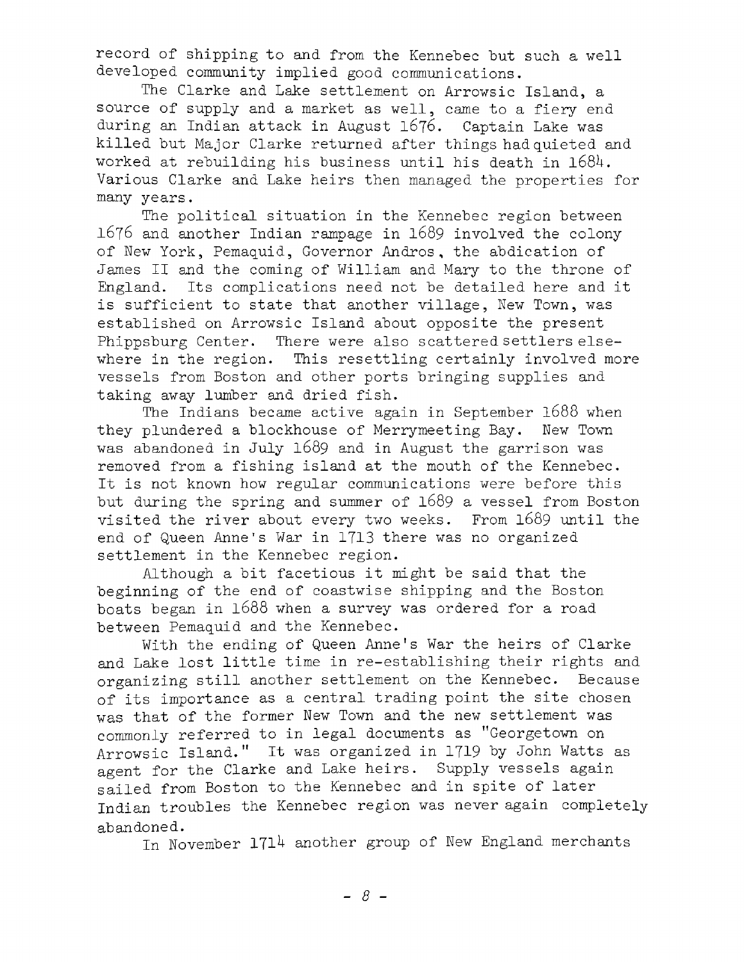record of shipping to and from the Kennebec but such a well developed community implied good communications.

The Clarke and Lake settlement on Arrowsic Island, a source of supply and a market as well, came to a fiery end during an Indian attack in August 1676. Captain Lake was killed but Major Clarke returned after things had quieted and worked at rebuilding his business until his death in 1684. Various Clarke and Lake heirs then managed the properties for many years.

The political situation in the Kennebec region between 1676 and another Indian rampage in 1689 involved the colony of New York, Pemaquid, Governor Andros, the abdication of James II and the coming of William and Mary to the throne of England. Its complications need not be detailed here and it is sufficient to state that another village, New Town, was established on Arrowsic Island about opposite the present Phippsburg Center. There were also scattered settlers elsewhere in the region. This resettling certainly involved more vessels from Boston and other ports bringing supplies and taking away lumber and dried fish.

The Indians became active again in September 1688 when they plundered a blockhouse of Merrymeeting Bay. New Town was abandoned in July 1689 and in August the garrison was removed from a fishing island at the mouth of the Kennebec. It is not known how regular communications were before this but during the spring and summer of  $1689$  a vessel from Boston visited the river about every two weeks. From 1689 until the end of Queen Anne's War in 1713 there was no organized settlement in the Kennebec region.

Although a bit facetious it might be said that the beginning of the end of coastwise shipping and the Boston boats began in 1688 when a survey was ordered for a road between Pemaquid and the Kennebec.

With the ending of Queen Anne's War the heirs of Clarke and Lake lost little time in re-establishing their rights and organizing still another settlement on the Kennebec. Because of its importance as a central trading point the site chosen was that of the former New Town and the new settlement was commonly referred to in legal documents as "Georgetown on Arrowsic Island." It was organized in 1719 by John Watts as agent for the Clarke and Lake heirs. Supply vessels again sailed from Boston to the Kennebec and in spite of later Indian troubles the Kennebec region was never again completely abandoned.

In November 1714 another group of New England merchants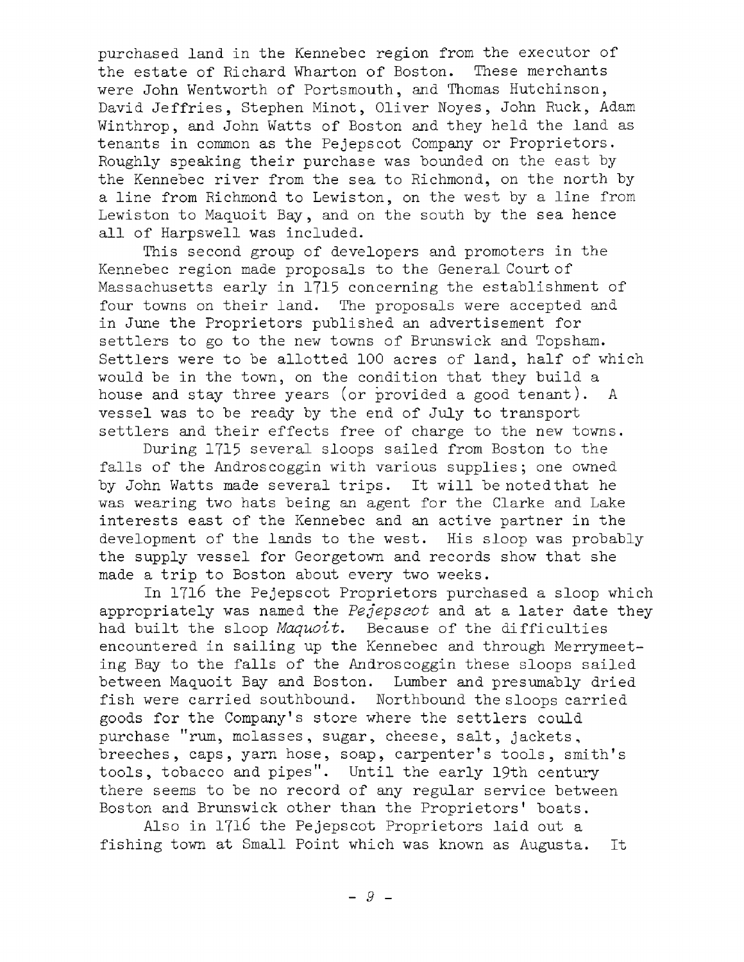purchased land in the Kennebec region from the executor of the estate of Richard Wharton of Boston. These merchants were John Wentworth of Portsmouth, and Thomas Hutchinson, David Jeffries, Stephen Minot, Oliver Noyes, John Ruck, Adam Winthrop, and John Watts of Boston and they held the land as tenants in common as the Pejepscot Company or Proprietors. Roughly speaking their purchase was bounded on the east by the Kennebec river from the sea to Richmond, on the north by a line from Richmond to Lewiston, on the west by a line from Lewiston to Maquoit Bay, and on the south by the sea hence all of Harpswell was included.

This second group of developers and promoters in the Kennebec region made proposals to the General Court of Massachusetts early in 1715 concerning the establishment of four towns on their land. The proposals were accepted and in June the Proprietors published an advertisement for settlers to go to the new towns of Brunswick and Topsham. Settlers were to be allotted 100 acres of land, half of which would be in the town, on the condition that they build a house and stay three years (or provided a good tenant). A vessel was to be ready by the end of July to transport settlers and their effects free of charge to the new towns.

During 1715 several sloops sailed from Boston to the falls of the Androscoggin with various supplies; one owned by John Watts made several trips. It will be noted that he was wearing two hats being an agent for the Clarke and Lake interests east of the Kennebec and an active partner in the development of the lands to the west. His sloop was probably the supply vessel for Georgetown and records show that she made a trip to Boston about every two weeks.

In 1716 the Pejepscot Proprietors purchased a sloop which appropriately was named the *Pejepscot* and at a later date they had built the sloop *Maquoit*. Because of the difficulties encountered in sailing up the Kennebec and through Merrymeeting Bay to the falls of the Androscoggin these sloops sailed between Maquoit Bay and Boston. Lumber and presumably dried fish were carried southbound. Northbound the sloops carried goods for the Company's store where the settlers could purchase "rum, molasses, sugar, cheese, salt, jackets, breeches, caps, yarn hose, soap, carpenter's tools, smith's tools, tobacco and pipes". Until the early 19th century there seems to be no record of any regular service between Boston and Brunswick other than the Proprietors' boats.

Also in 1716 the Pejepscot Proprietors laid out a fishing town at Small Point which was known as Augusta. It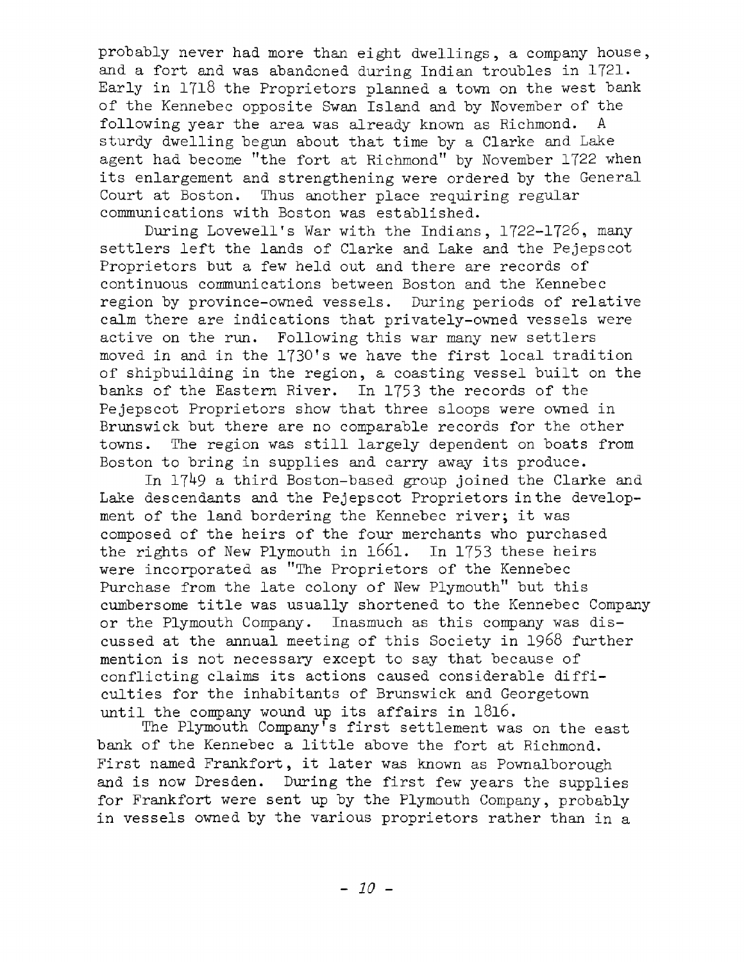probably never had more than eight dwellings, a company house, and a fort and was abandoned during Indian troubles in 1721. Early in 1718 the Proprietors planned a town on the west bank of the Kennebec opposite Swan Island and by November of the following year the area was already known as Richmond. A sturdy dwelling begun about that time by a Clarke and Lake agent had become "the fort at Richmond" by November 1722 when its enlargement and strengthening were ordered by the General Court at Boston. Thus another place requiring regular communications with Boston was established.

During Lovewell's War with the Indians, 1722-1726, many settlers left the lands of Clarke and Lake and the Pejepscot Proprietors but a few held out and there are records of continuous communications between Boston and the Kennebec region by province-owned vessels. During periods of relative calm there are indications that privately-owned vessels were active on the run. Following this war many new settlers moved in and in the 1730's we have the first local tradition of shipbuilding in the region, a coasting vessel built on the banks of the Eastern River. In 1753 the records of the Pejepscot Proprietors show that three sloops were owned in Brunswick but there are no comparable records for the other towns. The region was still largely dependent on boats from Boston to bring in supplies and carry away its produce.

In 1749 a third Boston-based group joined the Clarke and Lake descendants and the Pejepscot Proprietors in the development of the land bordering the Kennebec river; it was composed of the heirs of the four merchants who purchased the rights of New Plymouth in  $1661.$  In 1753 these heirs were incorporated as "The Proprietors of the Kennebec Purchase from the late colony of New Plymouth" but this cumbersome title was usually shortened to the Kennebec Company or the Plymouth Company. Inasmuch as this company was discussed at the annual meeting of this Society in 1968 further mention is not necessary except to say that because of conflicting claims its actions caused considerable difficulties for the inhabitants of Brunswick and Georgetown until the company wound up its affairs in  $1816\,.$ 

The Plymouth Company's first settlement was on the east bank of the Kennebec a little above the fort at Richmond. First named Frankfort, it later was known as Pownalborough and is now Dresden. During the first few years the supplies for Frankfort were sent up by the Plymouth Company, probably in vessels owned by the various proprietors rather than in a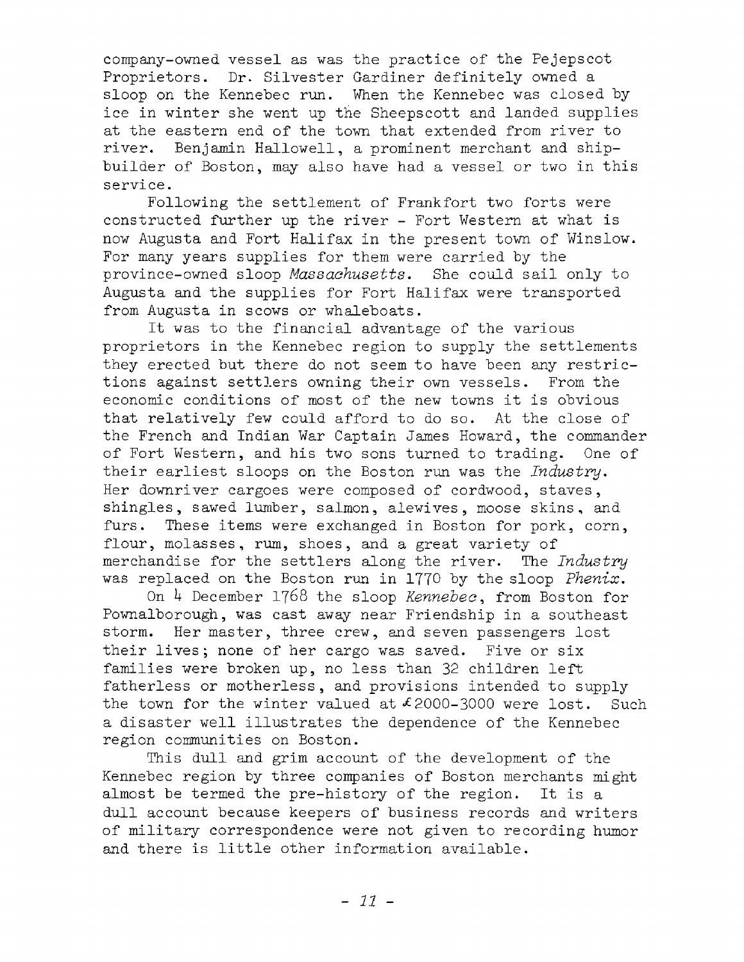company-owned vessel as was the practice of the Pejepscot Proprietors. Dr. Silvester Gardiner definitely owned a sloop on the Kennebec run. When the Kennebec was closed by ice in winter she went up the Sheepscott and landed supplies at the eastern end of the town that extended from river to river. Benjamin Hallowell, a prominent merchant and shipbuilder of Boston, may also have had a vessel or two in this service.

Following the settlement of Frankfort two forts were constructed further up the river - Fort Western at what is now Augusta and Fort Halifax in the present town of Winslow. For many years supplies for them were carried by the province-owned sloop *Massachusetts*. She could sail only to Augusta and the supplies for Fort Halifax were transported from Augusta in scows or whaleboats.

It was to the financial advantage of the various proprietors in the Kennebec region to supply the settlements they erected but there do not seem to have been any restrictions against settlers owning their own vessels. From the economic conditions of most of the new towns it is obvious that relatively few could afford to do so. At the close of the French and Indian War Captain James Howard, the commander of Fort Western, and his two sons turned to trading. One of their earliest sloops on the Boston run was the *Industry*. Her downriver cargoes were composed of cordwood, staves, shingles, sawed lumber, salmon, alewives, moose skins, and furs. These items were exchanged in Boston for pork, corn, flour, molasses, rum, shoes, and a great variety of merchandise for the settlers along the river. The *Industry* was replaced on the Boston run in 1770 by the sloop *Phenix.*

On 1+ December 1768 the sloop *Kennebec*, from Boston for Pownalborough, was cast away near Friendship in a southeast storm. Her master, three crew, and seven passengers lost their lives; none of her cargo was saved. Five or six families were broken up, no less than 32 children left fatherless or motherless, and provisions intended to supply the town for the winter valued at  $\ell$  2000-3000 were lost. Such a disaster well illustrates the dependence of the Kennebec region communities on Boston.

This dull and grim account of the development of the Kennebec region by three companies of Boston merchants might almost be termed the pre-history of the region. It is a dull account because keepers of business records and writers of military correspondence were not given to recording humor and there is little other information available.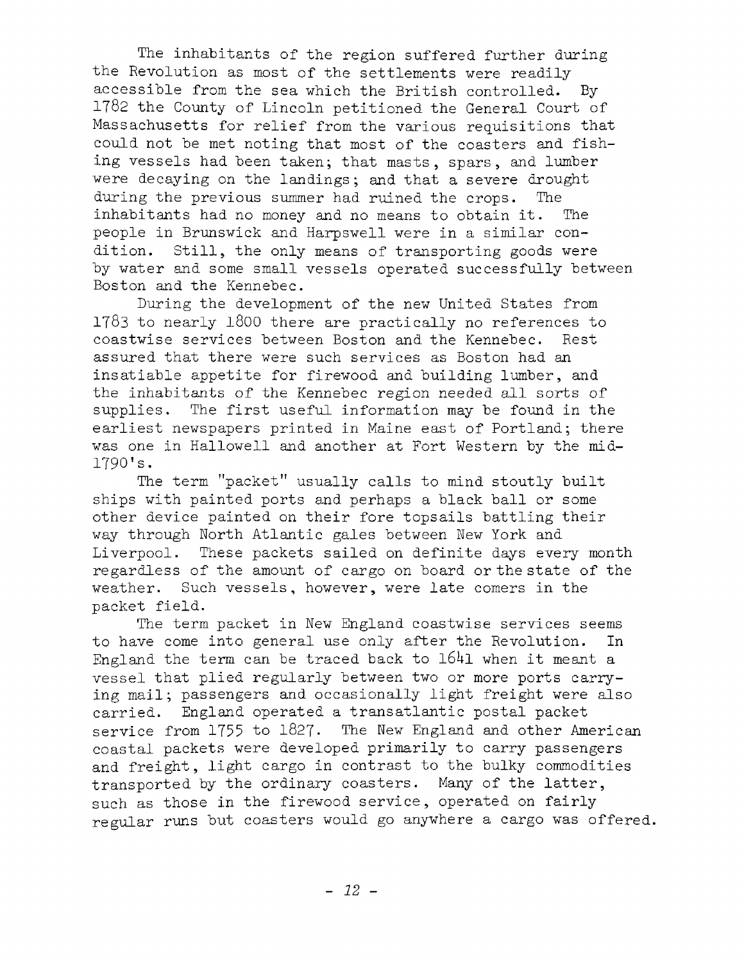The inhabitants of the region suffered further during the Revolution as most of the settlements were readily accessible from the sea which the British controlled. By  $1782$  the County of Lincoln petitioned the General Court of Massachusetts for relief from the various requisitions that could not be met noting that most of the coasters and fishing vessels had been taken; that masts, spars, and lumber were decaying on the landings; and that a severe drought during the previous summer had ruined the crops. The inhabitants had no money and no means to obtain it. The people in Brunswick and Harpswell were in a similar condition. Still, the only means of transporting goods were by water and some small vessels operated successfully between Boston and the Kennebec.

During the development of the new United States from  $1783$  to nearly 1800 there are practically no references to coastwise services between Boston and the Kennebec. Rest assured that there were such services as Boston had an insatiable appetite for firewood and building lumber, and the inhabitants of the Kennebec region needed all sorts of supplies. The first useful information may be found in the earliest newspapers printed in Maine east of Portland; there was one in Hallowell and another at Fort Western by the mid-1790! s.

The term "packet" usually calls to mind stoutly built ships with painted ports and perhaps a black ball or some other device painted on their fore topsails battling their way through North Atlantic gales between New York and Liverpool. These packets sailed on definite days every month regardless of the amount of cargo on board or the state of the weather. Such vessels, however, were late comers in the packet field.

The term packet in New England coastwise services seems to have come into general use only after the Revolution. In England the term can be traced back to  $1641$  when it meant a vessel that plied regularly between two or more ports carrying mail; passengers and occasionally light freight were also carried. England operated a transatlantic postal packet service from 1755 to 1827. The New England and other American coastal packets were developed primarily to carry passengers and freight, light cargo in contrast to the bulky commodities transported by the ordinary coasters. Many of the latter, such as those in the firewood service, operated on fairly regular runs but coasters would go anywhere a cargo was offered.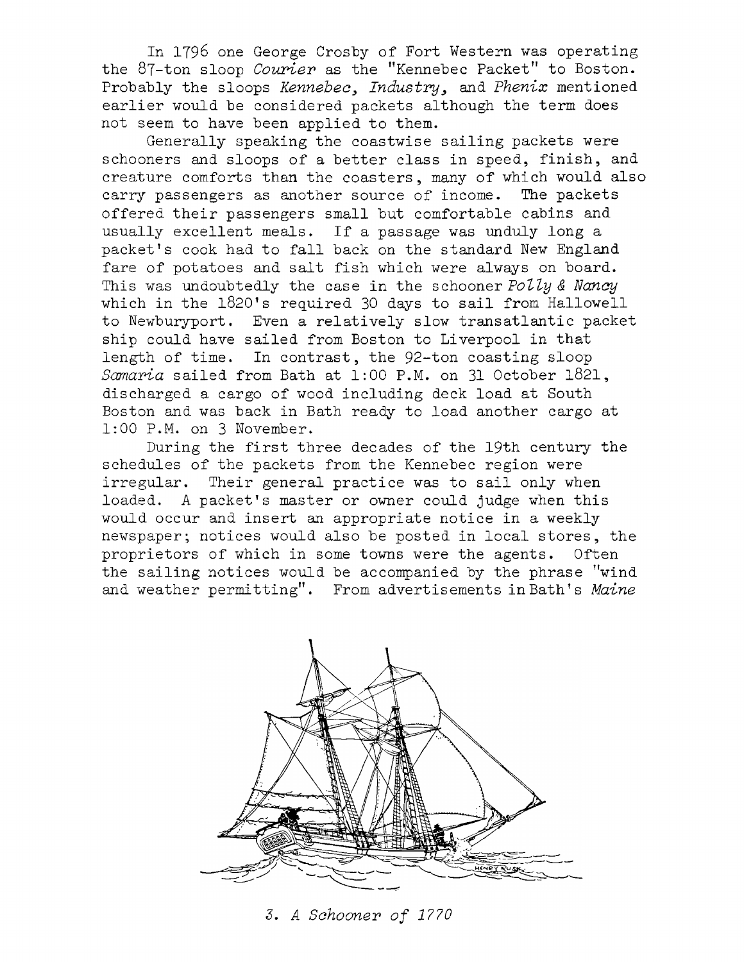In 1796 one George Crosby of Fort Western was operating the 87-ton sloop *Courier* as the "Kennebec Packet" to Boston. Probably the sloops *Kennebec*3 *Industry,* and *Phenix* mentioned earlier would be considered packets although the term does not seem to have been applied to them.

Generally speaking the coastwise sailing packets were schooners and sloops of a better class in speed, finish, and creature comforts than the coasters, many of which would also carry passengers as another source of income. The packets offered their passengers small but comfortable cabins and usually excellent meals. If a passage was unduly long a packet's cook had to fall back on the standard New England fare of potatoes and salt fish which were always on board. This was undoubtedly the case in the schooner *Polly & Nancy* which in the 1820's required 30 days to sail from Hallowell to Newburyport. Even a relatively slow transatlantic packet ship could have sailed from Boston to Liverpool in that length of time. In contrast, the 92-ton coasting sloop *Samaria* sailed from Bath at 1:00 P.M. on 31 October 1821, discharged a cargo of wood including deck load at South Boston and was back in Bath ready to load another cargo at 1:00 P.M. on 3 November.

During the first three decades of the 19th century the schedules of the packets from the Kennebec region were irregular. Their general practice was to sail only when loaded. A packet's master or owner could judge when this would occur and insert an appropriate notice in a weekly newspaper; notices would also be posted in local stores, the proprietors of which in some towns were the agents. Often the sailing notices would be accompanied by the phrase "wind and weather permitting". From advertisements in Bath's Maine



*3. A Schooner o f 1770*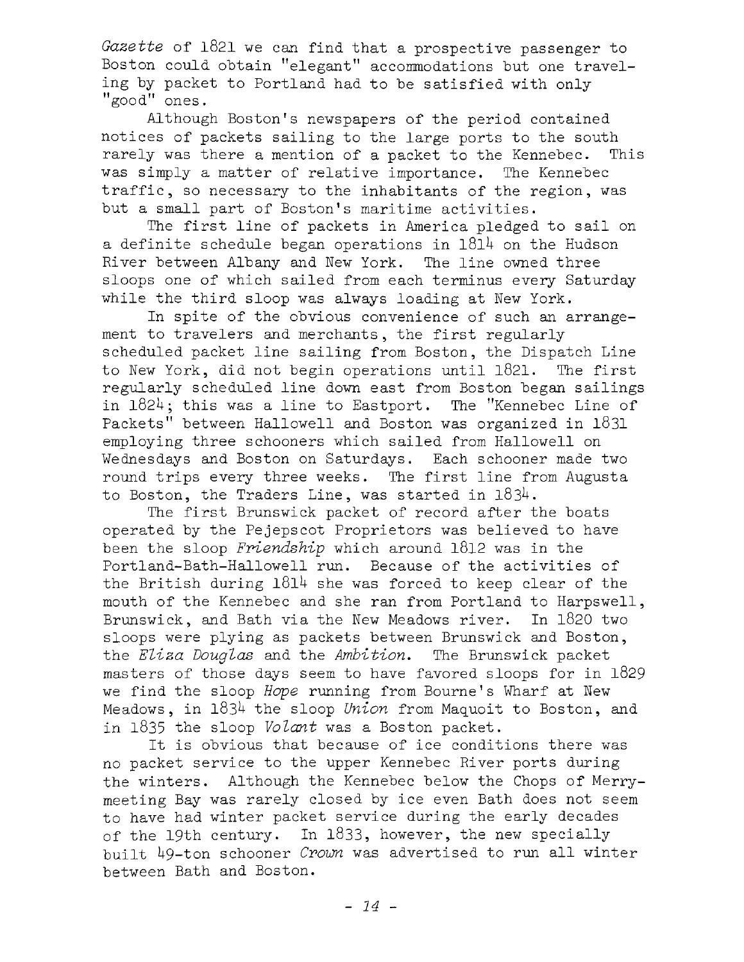*Gazette* of 1821 we can find that a prospective passenger to Boston could obtain "elegant" accommodations but one traveling by packet to Portland had to be satisfied with only "good" ones.

Although Boston's newspapers of the period contained notices of packets sailing to the large ports to the south rarely was there a mention of a packet to the Kennebec. This was simply a matter of relative importance. The Kennebec traffic, so necessary to the inhabitants of the region, was but a small part of Boston's maritime activities.

The first line of packets in America pledged to sail on a definite schedule began operations in  $1814$  on the Hudson River between Albany and New York. The line owned three sloops one of which sailed from each terminus every Saturday while the third sloop was always loading at New York.

In spite of the obvious convenience of such an arrangement to travelers and merchants, the first regularly scheduled packet line sailing from Boston, the Dispatch Line to New York, did not begin operations until 1821. The first regularly scheduled line down east from Boston began sailings in 1824; this was a line to Eastport. The "Kennebec Line of Packets" between Hallowe11 and Boston was organized in 1831 employing three schooners which sailed from Hallowell on Wednesdays and Boston on Saturdays. Each schooner made two round trips every three weeks. The first line from Augusta to Boston, the Traders Line, was started in  $1834$ .

The first Brunswick packet of record after the boats operated by the Pejepscot Proprietors was believed to have been the sloop *Friendship* which around 1812 was in the Portland-Bath-Hallowell run. Because of the activities of the British during  $1814$  she was forced to keep clear of the mouth of the Kennebec and she ran from Portland to Harpswell, Brunswick, and Bath via the New Meadows river. In 1820 two sloops were plying as packets between Brunswick and Boston, the *Eliza Douglas* and the *Ambition*. The Brunswick packet masters of those days seem to have favored sloops for in 1829 we find the sloop *Hope* running from Bourne's Wharf at New Meadows, in *lQ3b* the sloop *Union* from Maquoit to Boston, and in 1835 the sloop *Volant* was a Boston packet.

It is obvious that because of ice conditions there was no packet service to the upper Kennebec River ports during the winters. Although the Kennebec below the Chops of Merrymeeting Bay was rarely closed by ice even Bath does not seem to have had winter packet service during the early decades of the 19th century. In  $1833$ , however, the new specially built 49-ton schooner *Crown* was advertised to run all winter between Bath and Boston.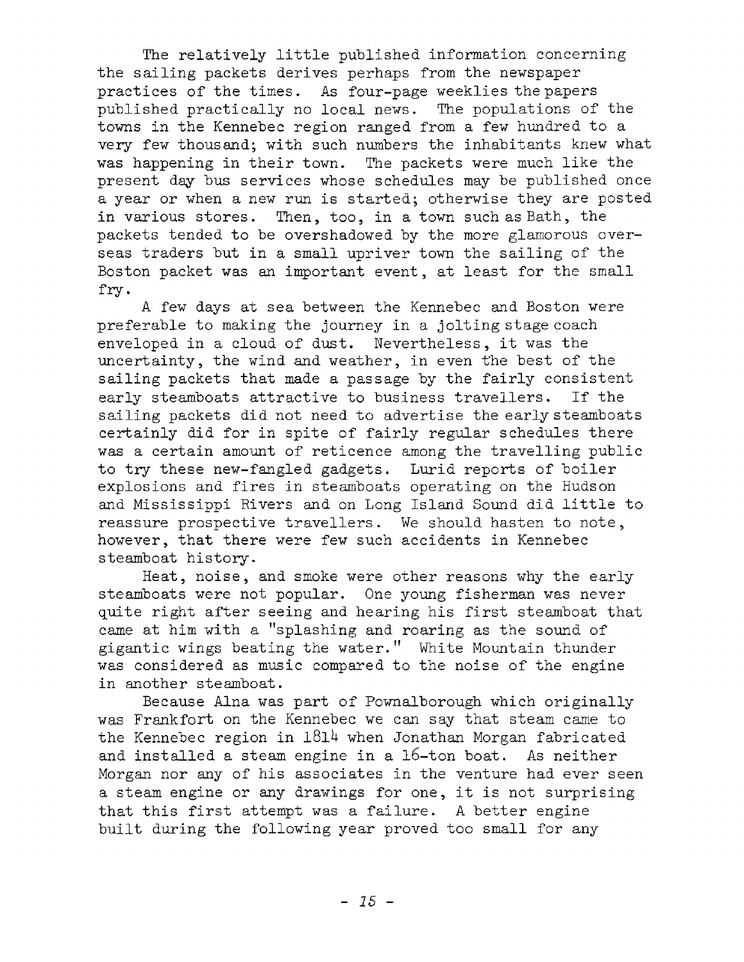The relatively little published information concerning the sailing packets derives perhaps from the newspaper practices of the times. As four-page weeklies the papers published practically no local news. The populations of the towns in the Kennebec region ranged from a few hundred to a very few thousand; with such numbers the inhabitants knew what was happening in their town. The packets were much like the present day bus services whose schedules may be published once a year or when a new run is started; otherwise they are posted in various stores. Then, too, in a town such as Bath, the packets tended to be overshadowed by the more glamorous overseas traders but in a small upriver town the sailing of the Boston packet was an important event, at least for the small fry .

A few days at sea between the Kennebec and Boston were preferable to making the journey in a jolting stage coach enveloped in a cloud of dust. Nevertheless, it was the uncertainty, the wind and weather, in even the best of the sailing packets that made a passage by the fairly consistent early steamboats attractive to business travellers. If the sailing packets did not need to advertise the early steamboats certainly did for in spite of fairly regular schedules there was a certain amount of reticence among the travelling public to try these new-fangled gadgets. Lurid reports of boiler explosions and fires in steamboats operating on the Hudson and Mississippi Rivers and on Long Island Sound did little to reassure prospective travellers. We should hasten to note, however, that there were few such accidents in Kennebec steamboat history.

Heat, noise, and smoke were other reasons why the early steamboats were not popular. One young fisherman was never quite right after seeing and hearing his first steamboat that came at him with a "splashing and roaring as the sound of gigantic wings beating the water." White Mountain thunder was considered as music compared to the noise of the engine in another steamboat.

Because Alna was part of Pownalborough which originally was Frankfort on the Kennebec we can say that steam came to the Kennebec region in  $1814$  when Jonathan Morgan fabricated and installed a steam engine in a  $16$ -ton boat. As neither Morgan nor any of his associates in the venture had ever seen a steam engine or any drawings for one, it is not surprising that this first attempt was a failure. A better engine built during the following year proved too small for any